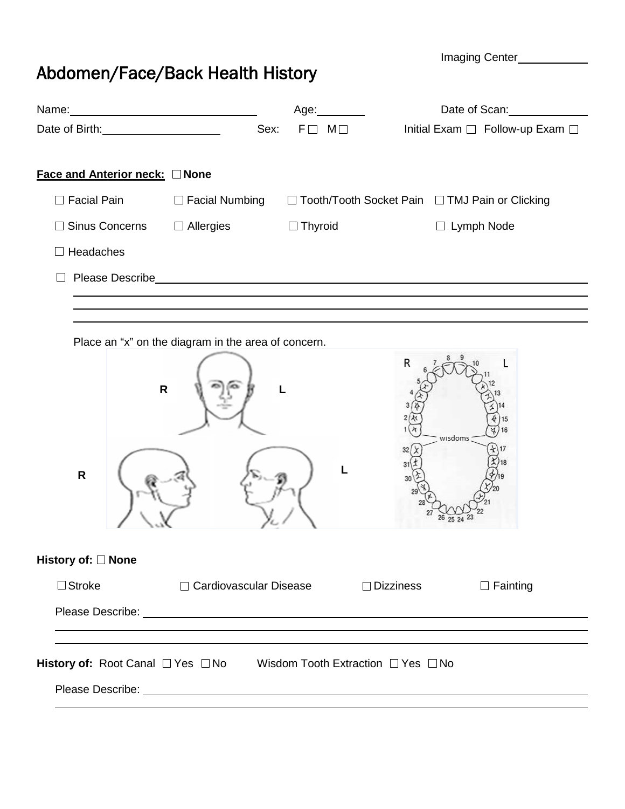Imaging Center

## Abdomen/Face/Back Health History

|                                                                      |                                                     |                                                     | Date of Scan:                                    |
|----------------------------------------------------------------------|-----------------------------------------------------|-----------------------------------------------------|--------------------------------------------------|
|                                                                      | Sex:                                                | $F \Box M \Box$                                     | Initial Exam □ Follow-up Exam □                  |
| Face and Anterior neck: None                                         |                                                     |                                                     |                                                  |
| $\Box$ Facial Pain                                                   | $\Box$ Facial Numbing                               |                                                     | □ Tooth/Tooth Socket Pain □ TMJ Pain or Clicking |
| <b>Sinus Concerns</b><br>$\Box$                                      | $\Box$ Allergies                                    | $\Box$ Thyroid                                      | $\Box$ Lymph Node                                |
| $\Box$ Headaches                                                     |                                                     |                                                     |                                                  |
|                                                                      |                                                     | Please Describe <b>Example 2018 Please Describe</b> |                                                  |
|                                                                      |                                                     |                                                     |                                                  |
|                                                                      | Place an "x" on the diagram in the area of concern. |                                                     | R                                                |
| $\mathsf{R}$<br>$\mathsf R$                                          |                                                     |                                                     | wisdoms                                          |
| History of: □ None                                                   |                                                     |                                                     |                                                  |
| $\Box$ Stroke                                                        | □ Cardiovascular Disease                            | $\Box$ Dizziness                                    | $\Box$ Fainting                                  |
|                                                                      |                                                     |                                                     |                                                  |
| History of: Root Canal □ Yes □ No Wisdom Tooth Extraction □ Yes □ No |                                                     |                                                     |                                                  |
|                                                                      |                                                     |                                                     |                                                  |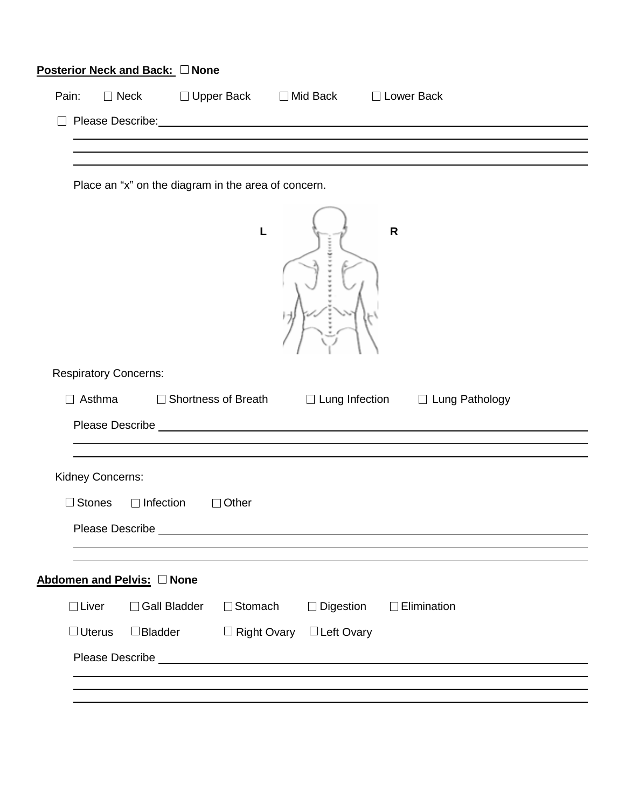|                              | <b>Posterior Neck and Back: □ None</b> |                                                     |                                      |                                                                                                                                                                                                                                |  |
|------------------------------|----------------------------------------|-----------------------------------------------------|--------------------------------------|--------------------------------------------------------------------------------------------------------------------------------------------------------------------------------------------------------------------------------|--|
| Pain:                        |                                        |                                                     |                                      | □ Neck □ Upper Back □ Mid Back □ Lower Back                                                                                                                                                                                    |  |
|                              |                                        |                                                     |                                      | Please Describe: Note: Note: Note: Note: Note: Note: Note: Note: Note: Note: Note: Note: Note: Note: Note: Note: Note: Note: Note: Note: Note: Note: Note: Note: Note: Note: Note: Note: Note: Note: Note: Note: Note: Note: N |  |
|                              |                                        |                                                     |                                      |                                                                                                                                                                                                                                |  |
|                              |                                        |                                                     |                                      |                                                                                                                                                                                                                                |  |
|                              |                                        | Place an "x" on the diagram in the area of concern. |                                      |                                                                                                                                                                                                                                |  |
|                              |                                        | L                                                   |                                      | $\mathsf{R}$                                                                                                                                                                                                                   |  |
| <b>Respiratory Concerns:</b> |                                        |                                                     |                                      |                                                                                                                                                                                                                                |  |
| $\Box$ Asthma                |                                        |                                                     |                                      | □ Shortness of Breath □ Lung Infection □ Lung Pathology                                                                                                                                                                        |  |
|                              |                                        |                                                     |                                      | Please Describe <b>Exercise Please Describe Exercise 1999</b>                                                                                                                                                                  |  |
|                              |                                        |                                                     |                                      |                                                                                                                                                                                                                                |  |
| Kidney Concerns:             |                                        |                                                     |                                      |                                                                                                                                                                                                                                |  |
| $\Box$ Stones                | $\Box$ Infection                       | $\Box$ Other                                        |                                      |                                                                                                                                                                                                                                |  |
|                              |                                        |                                                     |                                      |                                                                                                                                                                                                                                |  |
|                              |                                        |                                                     |                                      |                                                                                                                                                                                                                                |  |
|                              | Abdomen and Pelvis: None               |                                                     |                                      |                                                                                                                                                                                                                                |  |
| $\Box$ Liver                 | □ Gall Bladder                         | □ Stomach                                           | □ Digestion                          | $\Box$ Elimination                                                                                                                                                                                                             |  |
| $\Box$ Uterus                | $\Box$ Bladder                         |                                                     | $\Box$ Right Ovary $\Box$ Left Ovary |                                                                                                                                                                                                                                |  |
|                              |                                        |                                                     |                                      |                                                                                                                                                                                                                                |  |
|                              |                                        |                                                     |                                      |                                                                                                                                                                                                                                |  |
|                              |                                        |                                                     |                                      |                                                                                                                                                                                                                                |  |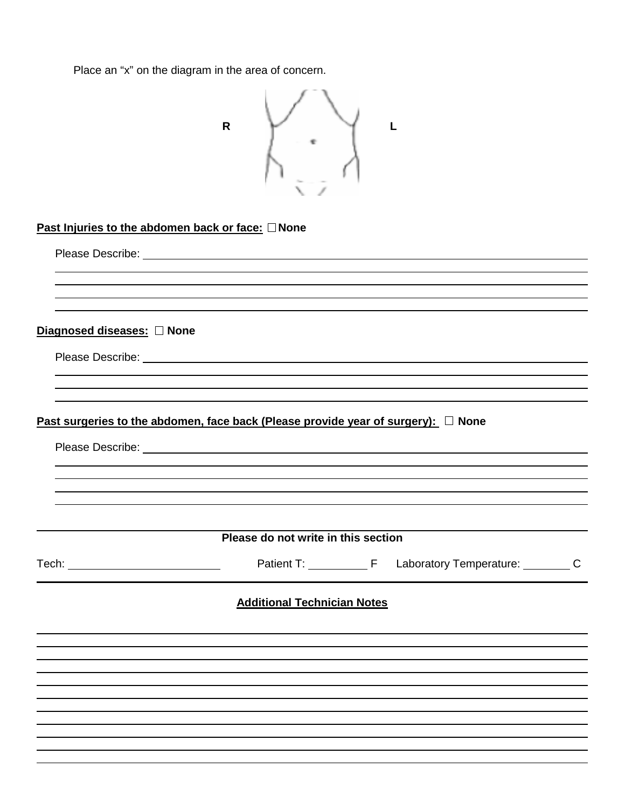Place an "x" on the diagram in the area of concern.

|                            | $\mathsf{R}$                                                                                                                                                                                                                         |  |  |
|----------------------------|--------------------------------------------------------------------------------------------------------------------------------------------------------------------------------------------------------------------------------------|--|--|
|                            |                                                                                                                                                                                                                                      |  |  |
|                            | Past Injuries to the abdomen back or face: □ None                                                                                                                                                                                    |  |  |
|                            |                                                                                                                                                                                                                                      |  |  |
|                            |                                                                                                                                                                                                                                      |  |  |
|                            |                                                                                                                                                                                                                                      |  |  |
| Diagnosed diseases: O None |                                                                                                                                                                                                                                      |  |  |
|                            |                                                                                                                                                                                                                                      |  |  |
|                            |                                                                                                                                                                                                                                      |  |  |
|                            | Past surgeries to the abdomen, face back (Please provide year of surgery): $\Box$ None                                                                                                                                               |  |  |
|                            | Please Describe: <u>example and the set of the set of the set of the set of the set of the set of the set of the set of the set of the set of the set of the set of the set of the set of the set of the set of the set of the s</u> |  |  |
|                            |                                                                                                                                                                                                                                      |  |  |
|                            |                                                                                                                                                                                                                                      |  |  |
|                            |                                                                                                                                                                                                                                      |  |  |
|                            | Please do not write in this section                                                                                                                                                                                                  |  |  |
|                            |                                                                                                                                                                                                                                      |  |  |
|                            | <b>Additional Technician Notes</b>                                                                                                                                                                                                   |  |  |
|                            |                                                                                                                                                                                                                                      |  |  |
|                            |                                                                                                                                                                                                                                      |  |  |
|                            |                                                                                                                                                                                                                                      |  |  |
|                            |                                                                                                                                                                                                                                      |  |  |
|                            |                                                                                                                                                                                                                                      |  |  |
|                            |                                                                                                                                                                                                                                      |  |  |